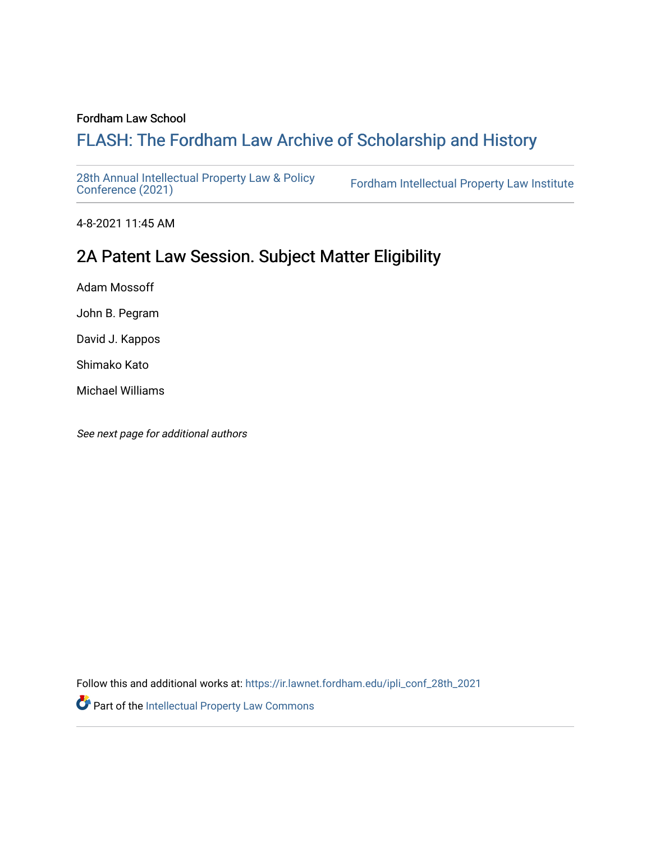#### Fordham Law School

# FLASH: The For[dham Law Archive of Scholarship and Hist](https://ir.lawnet.fordham.edu/)ory

[28th Annual Intellectual Property Law & Policy](https://ir.lawnet.fordham.edu/ipli_conf_28th_2021)<br>Conference (2021)

Fordham Intellectual Property Law Institute

4-8-2021 11:45 AM

# 2A Patent Law Session. Subject Matter Eligibility

Adam Mossoff

John B. Pegram

David J. Kappos

Shimako Kato

Michael Williams

See next page for additional authors

Follow this and additional works at: [https://ir.lawnet.fordham.edu/ipli\\_conf\\_28th\\_2021](https://ir.lawnet.fordham.edu/ipli_conf_28th_2021?utm_source=ir.lawnet.fordham.edu%2Fipli_conf_28th_2021%2F4&utm_medium=PDF&utm_campaign=PDFCoverPages) 

Part of the [Intellectual Property Law Commons](http://network.bepress.com/hgg/discipline/896?utm_source=ir.lawnet.fordham.edu%2Fipli_conf_28th_2021%2F4&utm_medium=PDF&utm_campaign=PDFCoverPages)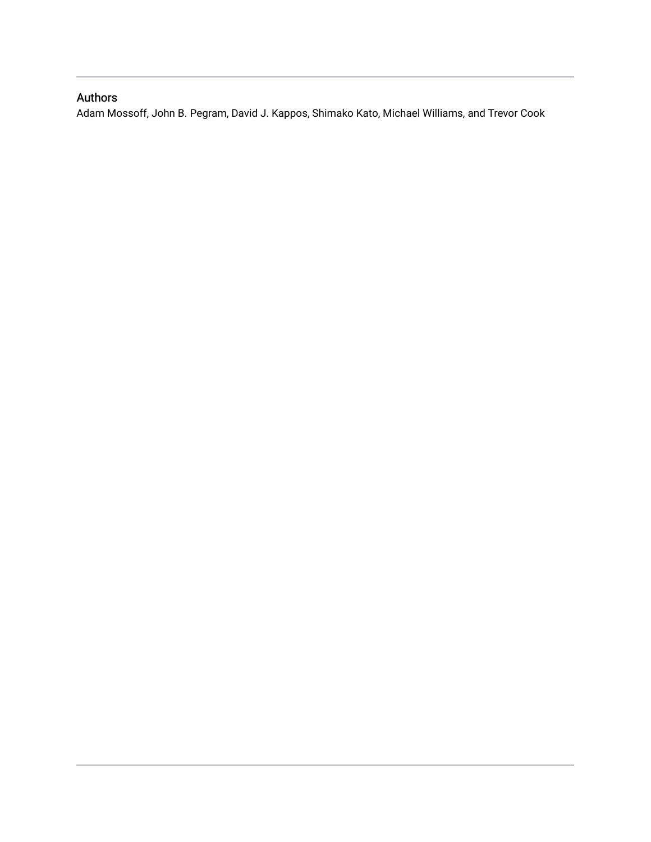## Authors

Adam Mossoff, John B. Pegram, David J. Kappos, Shimako Kato, Michael Williams, and Trevor Cook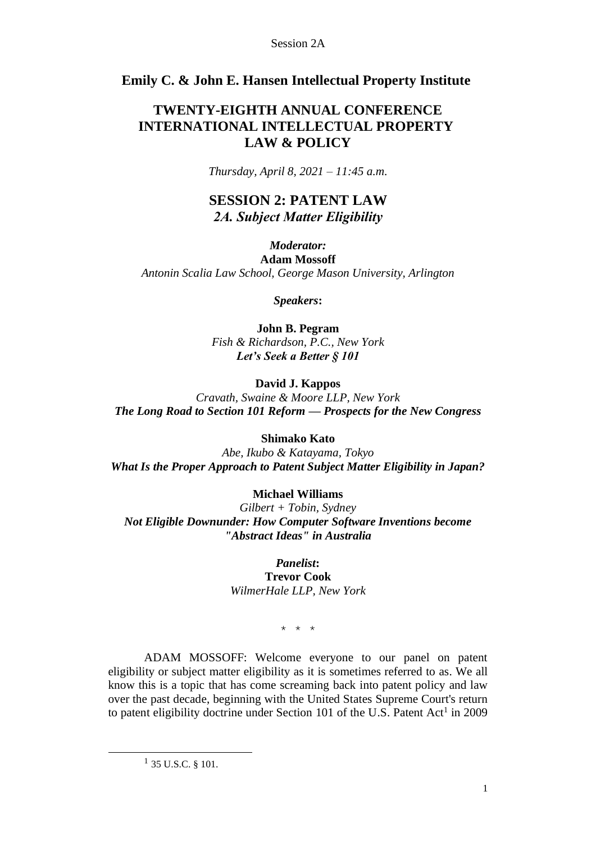## **Emily C. & John E. Hansen Intellectual Property Institute**

## **TWENTY-EIGHTH ANNUAL CONFERENCE INTERNATIONAL INTELLECTUAL PROPERTY LAW & POLICY**

*Thursday, April 8, 2021 – 11:45 a.m.*

## **SESSION 2: PATENT LAW** *2A. Subject Matter Eligibility*

## *Moderator:*

**Adam Mossoff** *Antonin Scalia Law School, George Mason University, Arlington* 

*Speakers***:**

**John B. Pegram** *Fish & Richardson, P.C., New York Let's Seek a Better § 101* 

## **David J. Kappos**

*Cravath, Swaine & Moore LLP, New York The Long Road to Section 101 Reform — Prospects for the New Congress* 

### **Shimako Kato**

*Abe, Ikubo & Katayama, Tokyo What Is the Proper Approach to Patent Subject Matter Eligibility in Japan?* 

### **Michael Williams**

*Gilbert + Tobin, Sydney Not Eligible Downunder: How Computer Software Inventions become "Abstract Ideas" in Australia*

#### *Panelist***: Trevor Cook**

*WilmerHale LLP, New York* 

\* \* \*

ADAM MOSSOFF: Welcome everyone to our panel on patent eligibility or subject matter eligibility as it is sometimes referred to as. We all know this is a topic that has come screaming back into patent policy and law over the past decade, beginning with the United States Supreme Court's return to patent eligibility doctrine under Section 101 of the U.S. Patent  $Act<sup>1</sup>$  in 2009

 $1$  35 U.S.C. § 101.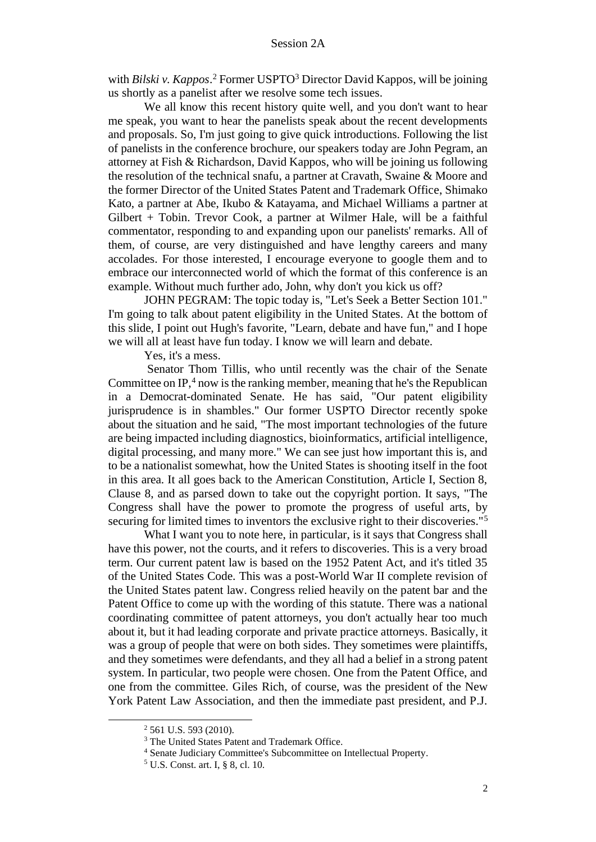with *Bilski v. Kappos*.<sup>2</sup> Former USPTO<sup>3</sup> Director David Kappos, will be joining us shortly as a panelist after we resolve some tech issues.

We all know this recent history quite well, and you don't want to hear me speak, you want to hear the panelists speak about the recent developments and proposals. So, I'm just going to give quick introductions. Following the list of panelists in the conference brochure, our speakers today are John Pegram, an attorney at Fish & Richardson, David Kappos, who will be joining us following the resolution of the technical snafu, a partner at Cravath, Swaine & Moore and the former Director of the United States Patent and Trademark Office, Shimako Kato, a partner at Abe, Ikubo & Katayama, and Michael Williams a partner at Gilbert + Tobin. Trevor Cook, a partner at Wilmer Hale, will be a faithful commentator, responding to and expanding upon our panelists' remarks. All of them, of course, are very distinguished and have lengthy careers and many accolades. For those interested, I encourage everyone to google them and to embrace our interconnected world of which the format of this conference is an example. Without much further ado, John, why don't you kick us off?

JOHN PEGRAM: The topic today is, "Let's Seek a Better Section 101." I'm going to talk about patent eligibility in the United States. At the bottom of this slide, I point out Hugh's favorite, "Learn, debate and have fun," and I hope we will all at least have fun today. I know we will learn and debate.

Yes, it's a mess.

Senator Thom Tillis, who until recently was the chair of the Senate Committee on IP, $4$  now is the ranking member, meaning that he's the Republican in a Democrat-dominated Senate. He has said, "Our patent eligibility jurisprudence is in shambles." Our former USPTO Director recently spoke about the situation and he said, "The most important technologies of the future are being impacted including diagnostics, bioinformatics, artificial intelligence, digital processing, and many more." We can see just how important this is, and to be a nationalist somewhat, how the United States is shooting itself in the foot in this area. It all goes back to the American Constitution, Article I, Section 8, Clause 8, and as parsed down to take out the copyright portion. It says, "The Congress shall have the power to promote the progress of useful arts, by securing for limited times to inventors the exclusive right to their discoveries."<sup>5</sup>

What I want you to note here, in particular, is it says that Congress shall have this power, not the courts, and it refers to discoveries. This is a very broad term. Our current patent law is based on the 1952 Patent Act, and it's titled 35 of the United States Code. This was a post-World War II complete revision of the United States patent law. Congress relied heavily on the patent bar and the Patent Office to come up with the wording of this statute. There was a national coordinating committee of patent attorneys, you don't actually hear too much about it, but it had leading corporate and private practice attorneys. Basically, it was a group of people that were on both sides. They sometimes were plaintiffs, and they sometimes were defendants, and they all had a belief in a strong patent system. In particular, two people were chosen. One from the Patent Office, and one from the committee. Giles Rich, of course, was the president of the New York Patent Law Association, and then the immediate past president, and P.J.

<sup>2</sup> 561 U.S. 593 (2010).

<sup>&</sup>lt;sup>3</sup> The United States Patent and Trademark Office.

<sup>4</sup> Senate Judiciary Committee's Subcommittee on Intellectual Property.

<sup>5</sup> U.S. Const. art. I, § 8, cl. 10.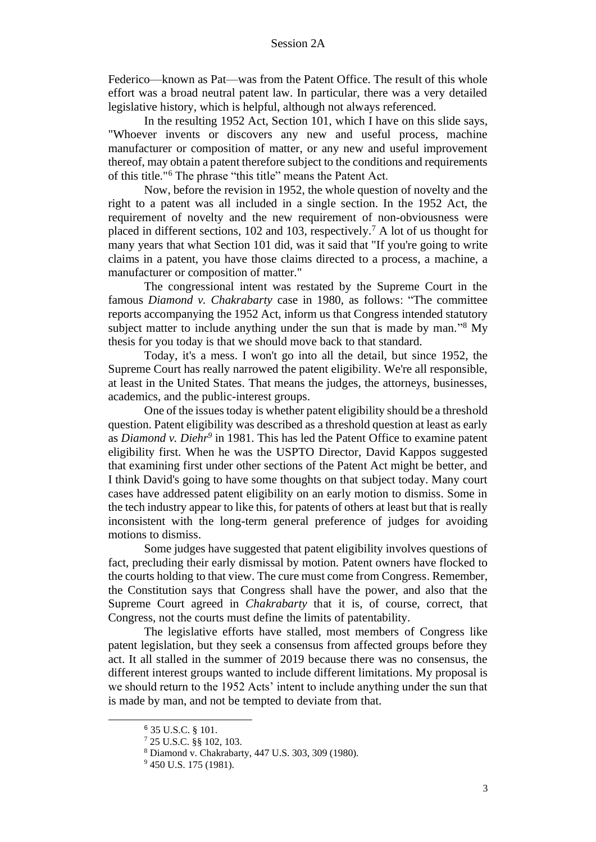Federico—known as Pat—was from the Patent Office. The result of this whole effort was a broad neutral patent law. In particular, there was a very detailed legislative history, which is helpful, although not always referenced.

In the resulting 1952 Act, Section 101, which I have on this slide says, "Whoever invents or discovers any new and useful process, machine manufacturer or composition of matter, or any new and useful improvement thereof, may obtain a patent therefore subject to the conditions and requirements of this title."<sup>6</sup> The phrase "this title" means the Patent Act.

Now, before the revision in 1952, the whole question of novelty and the right to a patent was all included in a single section. In the 1952 Act, the requirement of novelty and the new requirement of non-obviousness were placed in different sections, 102 and 103, respectively.<sup>7</sup> A lot of us thought for many years that what Section 101 did, was it said that "If you're going to write claims in a patent, you have those claims directed to a process, a machine, a manufacturer or composition of matter."

The congressional intent was restated by the Supreme Court in the famous *Diamond v. Chakrabarty* case in 1980, as follows: "The committee reports accompanying the 1952 Act, inform us that Congress intended statutory subject matter to include anything under the sun that is made by man."<sup>8</sup> My thesis for you today is that we should move back to that standard.

Today, it's a mess. I won't go into all the detail, but since 1952, the Supreme Court has really narrowed the patent eligibility. We're all responsible, at least in the United States. That means the judges, the attorneys, businesses, academics, and the public-interest groups.

One of the issues today is whether patent eligibility should be a threshold question. Patent eligibility was described as a threshold question at least as early as *Diamond v. Diehr<sup>9</sup>* in 1981. This has led the Patent Office to examine patent eligibility first. When he was the USPTO Director, David Kappos suggested that examining first under other sections of the Patent Act might be better, and I think David's going to have some thoughts on that subject today. Many court cases have addressed patent eligibility on an early motion to dismiss. Some in the tech industry appear to like this, for patents of others at least but that is really inconsistent with the long-term general preference of judges for avoiding motions to dismiss.

Some judges have suggested that patent eligibility involves questions of fact, precluding their early dismissal by motion. Patent owners have flocked to the courts holding to that view. The cure must come from Congress. Remember, the Constitution says that Congress shall have the power, and also that the Supreme Court agreed in *Chakrabarty* that it is, of course, correct, that Congress, not the courts must define the limits of patentability.

The legislative efforts have stalled, most members of Congress like patent legislation, but they seek a consensus from affected groups before they act. It all stalled in the summer of 2019 because there was no consensus, the different interest groups wanted to include different limitations. My proposal is we should return to the 1952 Acts' intent to include anything under the sun that is made by man, and not be tempted to deviate from that.

<sup>6</sup> 35 U.S.C. § 101.

<sup>7</sup> 25 U.S.C. §§ 102, 103.

<sup>8</sup> Diamond v. Chakrabarty, 447 U.S. 303, 309 (1980).

<sup>&</sup>lt;sup>9</sup> 450 U.S. 175 (1981).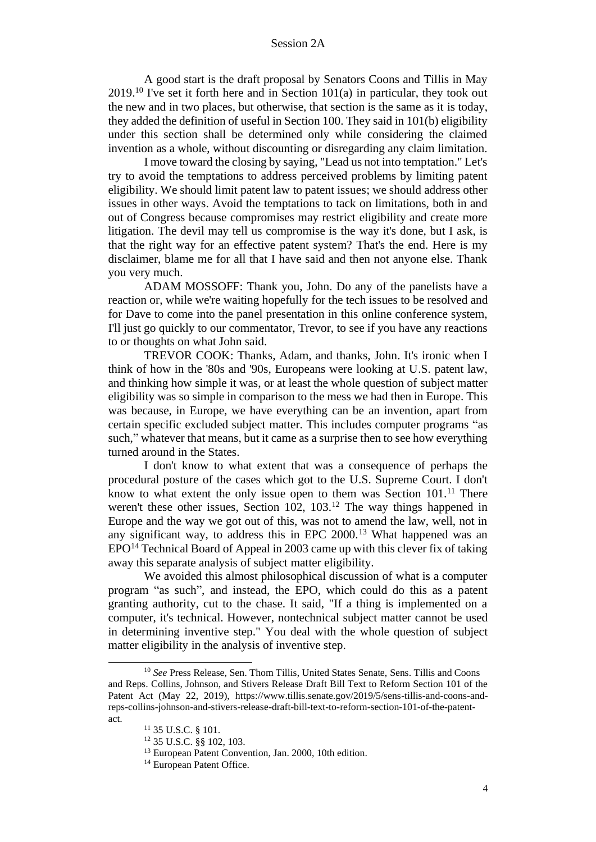A good start is the draft proposal by Senators Coons and Tillis in May  $2019$ .<sup>10</sup> I've set it forth here and in Section 101(a) in particular, they took out the new and in two places, but otherwise, that section is the same as it is today, they added the definition of useful in Section 100. They said in 101(b) eligibility under this section shall be determined only while considering the claimed invention as a whole, without discounting or disregarding any claim limitation.

I move toward the closing by saying, "Lead us not into temptation." Let's try to avoid the temptations to address perceived problems by limiting patent eligibility. We should limit patent law to patent issues; we should address other issues in other ways. Avoid the temptations to tack on limitations, both in and out of Congress because compromises may restrict eligibility and create more litigation. The devil may tell us compromise is the way it's done, but I ask, is that the right way for an effective patent system? That's the end. Here is my disclaimer, blame me for all that I have said and then not anyone else. Thank you very much.

ADAM MOSSOFF: Thank you, John. Do any of the panelists have a reaction or, while we're waiting hopefully for the tech issues to be resolved and for Dave to come into the panel presentation in this online conference system, I'll just go quickly to our commentator, Trevor, to see if you have any reactions to or thoughts on what John said.

TREVOR COOK: Thanks, Adam, and thanks, John. It's ironic when I think of how in the '80s and '90s, Europeans were looking at U.S. patent law, and thinking how simple it was, or at least the whole question of subject matter eligibility was so simple in comparison to the mess we had then in Europe. This was because, in Europe, we have everything can be an invention, apart from certain specific excluded subject matter. This includes computer programs "as such," whatever that means, but it came as a surprise then to see how everything turned around in the States.

I don't know to what extent that was a consequence of perhaps the procedural posture of the cases which got to the U.S. Supreme Court. I don't know to what extent the only issue open to them was Section  $101<sup>11</sup>$ . There weren't these other issues, Section 102, 103.<sup>12</sup> The way things happened in Europe and the way we got out of this, was not to amend the law, well, not in any significant way, to address this in EPC 2000.<sup>13</sup> What happened was an  $EPO<sup>14</sup> Technical Board of Apped in 2003 came up with this clever fix of taking$ away this separate analysis of subject matter eligibility.

We avoided this almost philosophical discussion of what is a computer program "as such", and instead, the EPO, which could do this as a patent granting authority, cut to the chase. It said, "If a thing is implemented on a computer, it's technical. However, nontechnical subject matter cannot be used in determining inventive step." You deal with the whole question of subject matter eligibility in the analysis of inventive step.

<sup>&</sup>lt;sup>10</sup> See Press Release, Sen. Thom Tillis, United States Senate, Sens. Tillis and Coons and Reps. Collins, Johnson, and Stivers Release Draft Bill Text to Reform Section 101 of the Patent Act (May 22, 2019), https://www.tillis.senate.gov/2019/5/sens-tillis-and-coons-andreps-collins-johnson-and-stivers-release-draft-bill-text-to-reform-section-101-of-the-patentact.

<sup>11</sup> 35 U.S.C. § 101.

<sup>12</sup> 35 U.S.C. §§ 102, 103.

<sup>13</sup> European Patent Convention, Jan. 2000, 10th edition.

<sup>&</sup>lt;sup>14</sup> European Patent Office.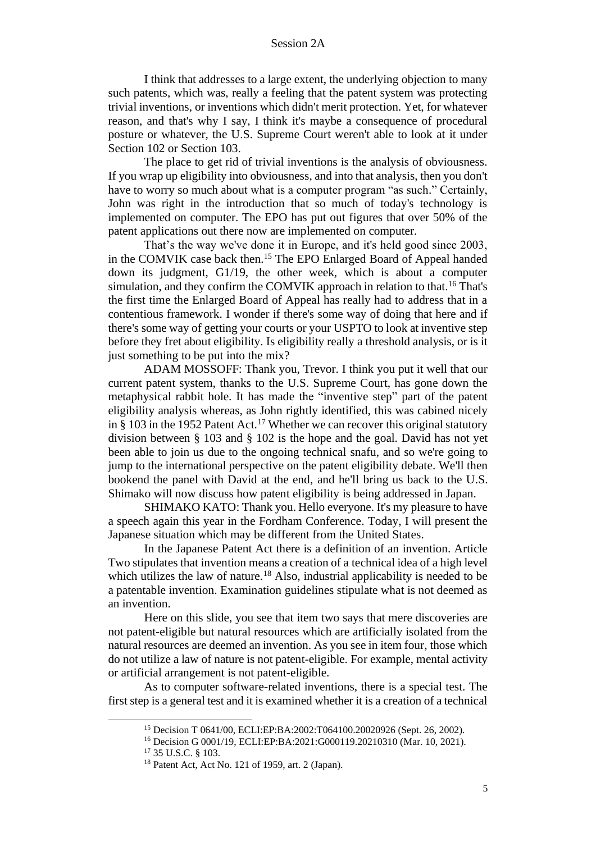I think that addresses to a large extent, the underlying objection to many such patents, which was, really a feeling that the patent system was protecting trivial inventions, or inventions which didn't merit protection. Yet, for whatever reason, and that's why I say, I think it's maybe a consequence of procedural posture or whatever, the U.S. Supreme Court weren't able to look at it under Section 102 or Section 103.

The place to get rid of trivial inventions is the analysis of obviousness. If you wrap up eligibility into obviousness, and into that analysis, then you don't have to worry so much about what is a computer program "as such." Certainly, John was right in the introduction that so much of today's technology is implemented on computer. The EPO has put out figures that over 50% of the patent applications out there now are implemented on computer.

That's the way we've done it in Europe, and it's held good since 2003, in the COMVIK case back then.<sup>15</sup> The EPO Enlarged Board of Appeal handed down its judgment, G1/19, the other week, which is about a computer simulation, and they confirm the COMVIK approach in relation to that.<sup>16</sup> That's the first time the Enlarged Board of Appeal has really had to address that in a contentious framework. I wonder if there's some way of doing that here and if there's some way of getting your courts or your USPTO to look at inventive step before they fret about eligibility. Is eligibility really a threshold analysis, or is it just something to be put into the mix?

ADAM MOSSOFF: Thank you, Trevor. I think you put it well that our current patent system, thanks to the U.S. Supreme Court, has gone down the metaphysical rabbit hole. It has made the "inventive step" part of the patent eligibility analysis whereas, as John rightly identified, this was cabined nicely in  $\S$  103 in the 1952 Patent Act.<sup>17</sup> Whether we can recover this original statutory division between § 103 and § 102 is the hope and the goal. David has not yet been able to join us due to the ongoing technical snafu, and so we're going to jump to the international perspective on the patent eligibility debate. We'll then bookend the panel with David at the end, and he'll bring us back to the U.S. Shimako will now discuss how patent eligibility is being addressed in Japan.

SHIMAKO KATO: Thank you. Hello everyone. It's my pleasure to have a speech again this year in the Fordham Conference. Today, I will present the Japanese situation which may be different from the United States.

In the Japanese Patent Act there is a definition of an invention. Article Two stipulates that invention means a creation of a technical idea of a high level which utilizes the law of nature.<sup>18</sup> Also, industrial applicability is needed to be a patentable invention. Examination guidelines stipulate what is not deemed as an invention.

Here on this slide, you see that item two says that mere discoveries are not patent-eligible but natural resources which are artificially isolated from the natural resources are deemed an invention. As you see in item four, those which do not utilize a law of nature is not patent-eligible. For example, mental activity or artificial arrangement is not patent-eligible.

As to computer software-related inventions, there is a special test. The first step is a general test and it is examined whether it is a creation of a technical

<sup>15</sup> Decision T 0641/00, ECLI:EP:BA:2002:T064100.20020926 (Sept. 26, 2002).

<sup>16</sup> Decision G 0001/19, ECLI:EP:BA:2021:G000119.20210310 (Mar. 10, 2021).

<sup>17</sup> 35 U.S.C. § 103.

<sup>18</sup> Patent Act, Act No. 121 of 1959, art. 2 (Japan).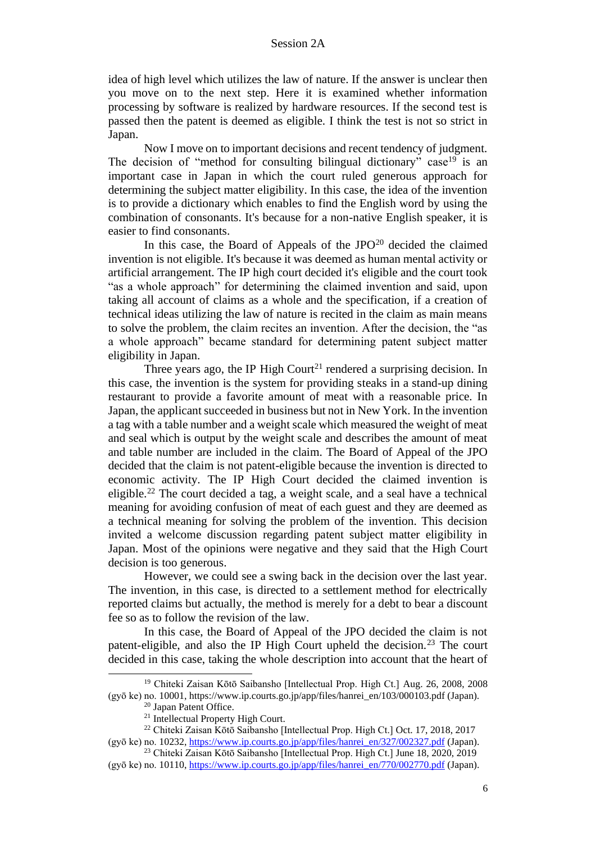idea of high level which utilizes the law of nature. If the answer is unclear then you move on to the next step. Here it is examined whether information processing by software is realized by hardware resources. If the second test is passed then the patent is deemed as eligible. I think the test is not so strict in Japan.

Now I move on to important decisions and recent tendency of judgment. The decision of "method for consulting bilingual dictionary" case<sup>19</sup> is an important case in Japan in which the court ruled generous approach for determining the subject matter eligibility. In this case, the idea of the invention is to provide a dictionary which enables to find the English word by using the combination of consonants. It's because for a non-native English speaker, it is easier to find consonants.

In this case, the Board of Appeals of the JPO<sup>20</sup> decided the claimed invention is not eligible. It's because it was deemed as human mental activity or artificial arrangement. The IP high court decided it's eligible and the court took "as a whole approach" for determining the claimed invention and said, upon taking all account of claims as a whole and the specification, if a creation of technical ideas utilizing the law of nature is recited in the claim as main means to solve the problem, the claim recites an invention. After the decision, the "as a whole approach" became standard for determining patent subject matter eligibility in Japan.

Three years ago, the IP High Court<sup>21</sup> rendered a surprising decision. In this case, the invention is the system for providing steaks in a stand-up dining restaurant to provide a favorite amount of meat with a reasonable price. In Japan, the applicant succeeded in business but not in New York. In the invention a tag with a table number and a weight scale which measured the weight of meat and seal which is output by the weight scale and describes the amount of meat and table number are included in the claim. The Board of Appeal of the JPO decided that the claim is not patent-eligible because the invention is directed to economic activity. The IP High Court decided the claimed invention is eligible.<sup>22</sup> The court decided a tag, a weight scale, and a seal have a technical meaning for avoiding confusion of meat of each guest and they are deemed as a technical meaning for solving the problem of the invention. This decision invited a welcome discussion regarding patent subject matter eligibility in Japan. Most of the opinions were negative and they said that the High Court decision is too generous.

However, we could see a swing back in the decision over the last year. The invention, in this case, is directed to a settlement method for electrically reported claims but actually, the method is merely for a debt to bear a discount fee so as to follow the revision of the law.

In this case, the Board of Appeal of the JPO decided the claim is not patent-eligible, and also the IP High Court upheld the decision.<sup>23</sup> The court decided in this case, taking the whole description into account that the heart of

<sup>19</sup> Chiteki Zaisan Kōtō Saibansho [Intellectual Prop. High Ct.] Aug. 26, 2008, 2008 (gyō ke) no. 10001, https://www.ip.courts.go.jp/app/files/hanrei\_en/103/000103.pdf (Japan).

<sup>20</sup> Japan Patent Office.

<sup>21</sup> Intellectual Property High Court.

<sup>22</sup> Chiteki Zaisan Kōtō Saibansho [Intellectual Prop. High Ct.] Oct. 17, 2018, 2017 (gyō ke) no. 10232, https://www.ip.courts.go.jp/app/files/hanrei\_en/327/002327.pdf (Japan).

<sup>23</sup> Chiteki Zaisan Kōtō Saibansho [Intellectual Prop. High Ct.] June 18, 2020, 2019 (gyō ke) no. 10110, https://www.ip.courts.go.jp/app/files/hanrei\_en/770/002770.pdf (Japan).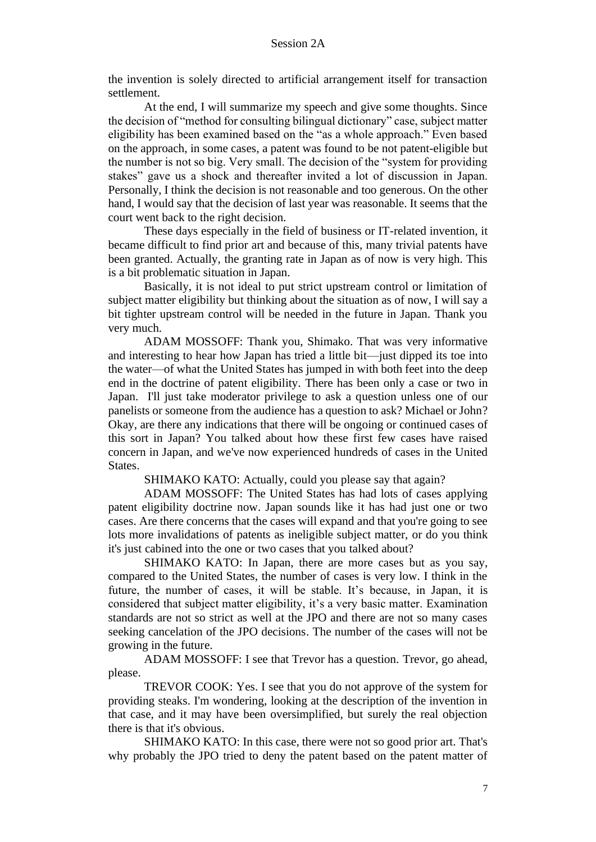the invention is solely directed to artificial arrangement itself for transaction settlement.

At the end, I will summarize my speech and give some thoughts. Since the decision of "method for consulting bilingual dictionary" case, subject matter eligibility has been examined based on the "as a whole approach." Even based on the approach, in some cases, a patent was found to be not patent-eligible but the number is not so big. Very small. The decision of the "system for providing stakes" gave us a shock and thereafter invited a lot of discussion in Japan. Personally, I think the decision is not reasonable and too generous. On the other hand, I would say that the decision of last year was reasonable. It seems that the court went back to the right decision.

These days especially in the field of business or IT-related invention, it became difficult to find prior art and because of this, many trivial patents have been granted. Actually, the granting rate in Japan as of now is very high. This is a bit problematic situation in Japan.

Basically, it is not ideal to put strict upstream control or limitation of subject matter eligibility but thinking about the situation as of now, I will say a bit tighter upstream control will be needed in the future in Japan. Thank you very much.

ADAM MOSSOFF: Thank you, Shimako. That was very informative and interesting to hear how Japan has tried a little bit—just dipped its toe into the water—of what the United States has jumped in with both feet into the deep end in the doctrine of patent eligibility. There has been only a case or two in Japan. I'll just take moderator privilege to ask a question unless one of our panelists or someone from the audience has a question to ask? Michael or John? Okay, are there any indications that there will be ongoing or continued cases of this sort in Japan? You talked about how these first few cases have raised concern in Japan, and we've now experienced hundreds of cases in the United States.

SHIMAKO KATO: Actually, could you please say that again?

ADAM MOSSOFF: The United States has had lots of cases applying patent eligibility doctrine now. Japan sounds like it has had just one or two cases. Are there concerns that the cases will expand and that you're going to see lots more invalidations of patents as ineligible subject matter, or do you think it's just cabined into the one or two cases that you talked about?

SHIMAKO KATO: In Japan, there are more cases but as you say, compared to the United States, the number of cases is very low. I think in the future, the number of cases, it will be stable. It's because, in Japan, it is considered that subject matter eligibility, it's a very basic matter. Examination standards are not so strict as well at the JPO and there are not so many cases seeking cancelation of the JPO decisions. The number of the cases will not be growing in the future.

ADAM MOSSOFF: I see that Trevor has a question. Trevor, go ahead, please.

TREVOR COOK: Yes. I see that you do not approve of the system for providing steaks. I'm wondering, looking at the description of the invention in that case, and it may have been oversimplified, but surely the real objection there is that it's obvious.

SHIMAKO KATO: In this case, there were not so good prior art. That's why probably the JPO tried to deny the patent based on the patent matter of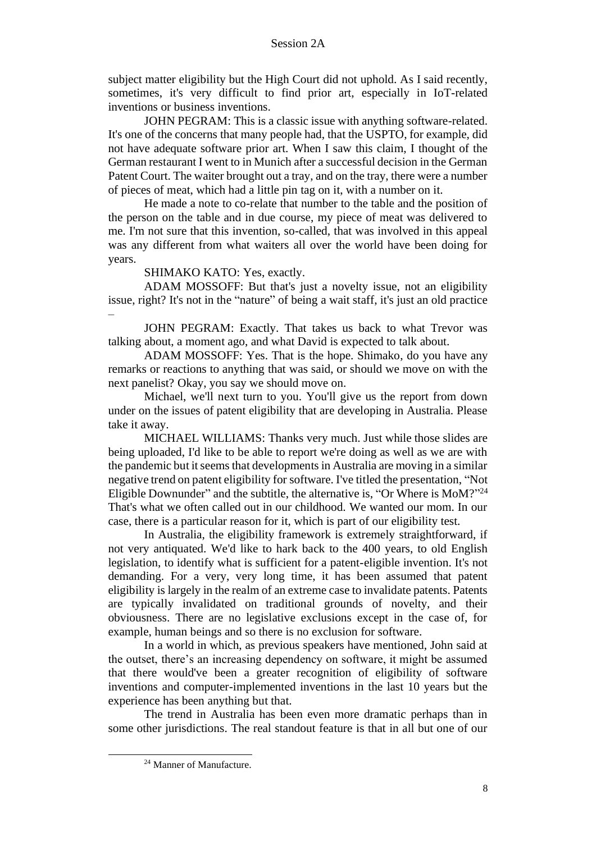subject matter eligibility but the High Court did not uphold. As I said recently, sometimes, it's very difficult to find prior art, especially in IoT-related inventions or business inventions.

JOHN PEGRAM: This is a classic issue with anything software-related. It's one of the concerns that many people had, that the USPTO, for example, did not have adequate software prior art. When I saw this claim, I thought of the German restaurant I went to in Munich after a successful decision in the German Patent Court. The waiter brought out a tray, and on the tray, there were a number of pieces of meat, which had a little pin tag on it, with a number on it.

He made a note to co-relate that number to the table and the position of the person on the table and in due course, my piece of meat was delivered to me. I'm not sure that this invention, so-called, that was involved in this appeal was any different from what waiters all over the world have been doing for years.

SHIMAKO KATO: Yes, exactly.

–

ADAM MOSSOFF: But that's just a novelty issue, not an eligibility issue, right? It's not in the "nature" of being a wait staff, it's just an old practice

JOHN PEGRAM: Exactly. That takes us back to what Trevor was talking about, a moment ago, and what David is expected to talk about.

ADAM MOSSOFF: Yes. That is the hope. Shimako, do you have any remarks or reactions to anything that was said, or should we move on with the next panelist? Okay, you say we should move on.

Michael, we'll next turn to you. You'll give us the report from down under on the issues of patent eligibility that are developing in Australia. Please take it away.

MICHAEL WILLIAMS: Thanks very much. Just while those slides are being uploaded, I'd like to be able to report we're doing as well as we are with the pandemic but it seems that developments in Australia are moving in a similar negative trend on patent eligibility for software. I've titled the presentation, "Not Eligible Downunder" and the subtitle, the alternative is, "Or Where is MoM?"<sup>24</sup> That's what we often called out in our childhood. We wanted our mom. In our case, there is a particular reason for it, which is part of our eligibility test.

In Australia, the eligibility framework is extremely straightforward, if not very antiquated. We'd like to hark back to the 400 years, to old English legislation, to identify what is sufficient for a patent-eligible invention. It's not demanding. For a very, very long time, it has been assumed that patent eligibility is largely in the realm of an extreme case to invalidate patents. Patents are typically invalidated on traditional grounds of novelty, and their obviousness. There are no legislative exclusions except in the case of, for example, human beings and so there is no exclusion for software.

In a world in which, as previous speakers have mentioned, John said at the outset, there's an increasing dependency on software, it might be assumed that there would've been a greater recognition of eligibility of software inventions and computer-implemented inventions in the last 10 years but the experience has been anything but that.

The trend in Australia has been even more dramatic perhaps than in some other jurisdictions. The real standout feature is that in all but one of our

<sup>24</sup> Manner of Manufacture.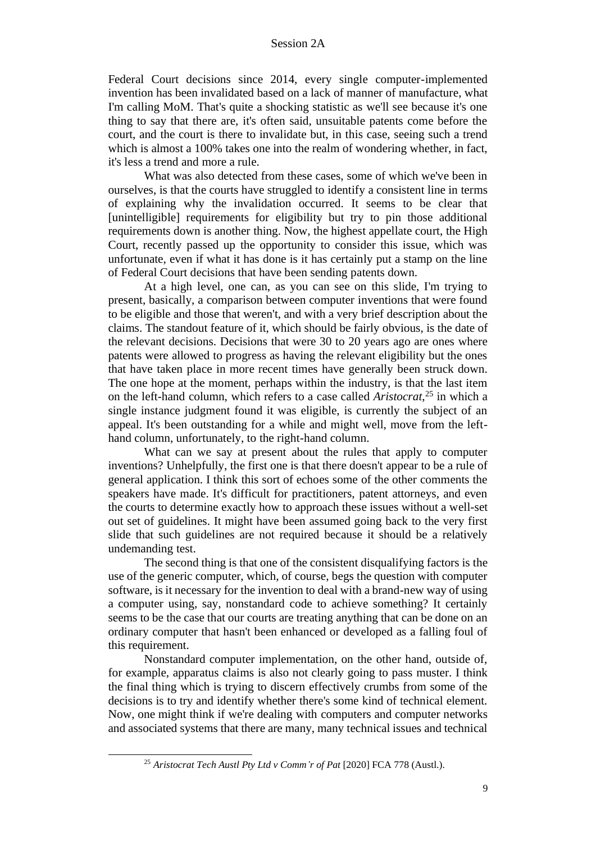Federal Court decisions since 2014, every single computer-implemented invention has been invalidated based on a lack of manner of manufacture, what I'm calling MoM. That's quite a shocking statistic as we'll see because it's one thing to say that there are, it's often said, unsuitable patents come before the court, and the court is there to invalidate but, in this case, seeing such a trend which is almost a 100% takes one into the realm of wondering whether, in fact, it's less a trend and more a rule.

What was also detected from these cases, some of which we've been in ourselves, is that the courts have struggled to identify a consistent line in terms of explaining why the invalidation occurred. It seems to be clear that [unintelligible] requirements for eligibility but try to pin those additional requirements down is another thing. Now, the highest appellate court, the High Court, recently passed up the opportunity to consider this issue, which was unfortunate, even if what it has done is it has certainly put a stamp on the line of Federal Court decisions that have been sending patents down.

At a high level, one can, as you can see on this slide, I'm trying to present, basically, a comparison between computer inventions that were found to be eligible and those that weren't, and with a very brief description about the claims. The standout feature of it, which should be fairly obvious, is the date of the relevant decisions. Decisions that were 30 to 20 years ago are ones where patents were allowed to progress as having the relevant eligibility but the ones that have taken place in more recent times have generally been struck down. The one hope at the moment, perhaps within the industry, is that the last item on the left-hand column, which refers to a case called *Aristocrat*, <sup>25</sup> in which a single instance judgment found it was eligible, is currently the subject of an appeal. It's been outstanding for a while and might well, move from the lefthand column, unfortunately, to the right-hand column.

What can we say at present about the rules that apply to computer inventions? Unhelpfully, the first one is that there doesn't appear to be a rule of general application. I think this sort of echoes some of the other comments the speakers have made. It's difficult for practitioners, patent attorneys, and even the courts to determine exactly how to approach these issues without a well-set out set of guidelines. It might have been assumed going back to the very first slide that such guidelines are not required because it should be a relatively undemanding test.

The second thing is that one of the consistent disqualifying factors is the use of the generic computer, which, of course, begs the question with computer software, is it necessary for the invention to deal with a brand-new way of using a computer using, say, nonstandard code to achieve something? It certainly seems to be the case that our courts are treating anything that can be done on an ordinary computer that hasn't been enhanced or developed as a falling foul of this requirement.

Nonstandard computer implementation, on the other hand, outside of, for example, apparatus claims is also not clearly going to pass muster. I think the final thing which is trying to discern effectively crumbs from some of the decisions is to try and identify whether there's some kind of technical element. Now, one might think if we're dealing with computers and computer networks and associated systems that there are many, many technical issues and technical

<sup>25</sup> *Aristocrat Tech Austl Pty Ltd v Comm'r of Pat* [2020] FCA 778 (Austl.).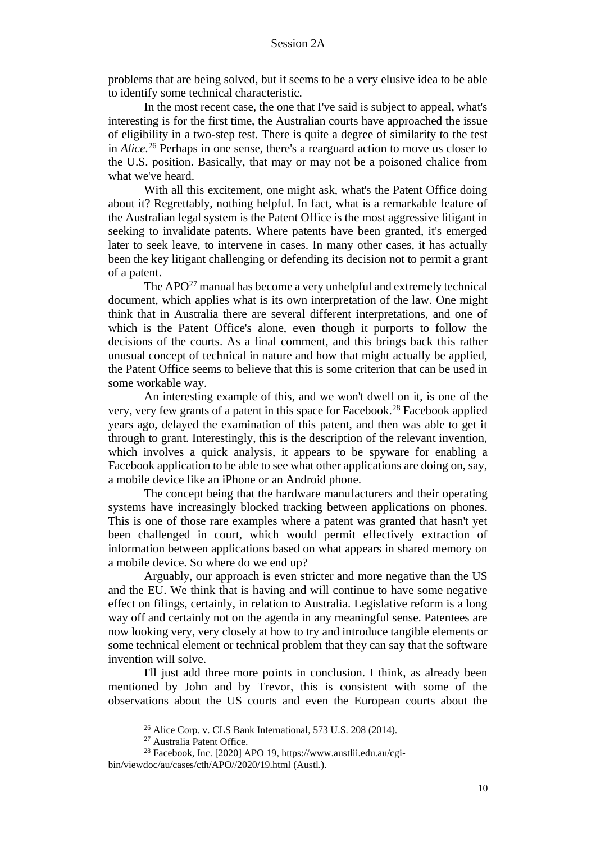problems that are being solved, but it seems to be a very elusive idea to be able to identify some technical characteristic.

In the most recent case, the one that I've said is subject to appeal, what's interesting is for the first time, the Australian courts have approached the issue of eligibility in a two-step test. There is quite a degree of similarity to the test in *Alice*. <sup>26</sup> Perhaps in one sense, there's a rearguard action to move us closer to the U.S. position. Basically, that may or may not be a poisoned chalice from what we've heard.

With all this excitement, one might ask, what's the Patent Office doing about it? Regrettably, nothing helpful. In fact, what is a remarkable feature of the Australian legal system is the Patent Office is the most aggressive litigant in seeking to invalidate patents. Where patents have been granted, it's emerged later to seek leave, to intervene in cases. In many other cases, it has actually been the key litigant challenging or defending its decision not to permit a grant of a patent.

The APO<sup>27</sup> manual has become a very unhelpful and extremely technical document, which applies what is its own interpretation of the law. One might think that in Australia there are several different interpretations, and one of which is the Patent Office's alone, even though it purports to follow the decisions of the courts. As a final comment, and this brings back this rather unusual concept of technical in nature and how that might actually be applied, the Patent Office seems to believe that this is some criterion that can be used in some workable way.

An interesting example of this, and we won't dwell on it, is one of the very, very few grants of a patent in this space for Facebook.<sup>28</sup> Facebook applied years ago, delayed the examination of this patent, and then was able to get it through to grant. Interestingly, this is the description of the relevant invention, which involves a quick analysis, it appears to be spyware for enabling a Facebook application to be able to see what other applications are doing on, say, a mobile device like an iPhone or an Android phone.

The concept being that the hardware manufacturers and their operating systems have increasingly blocked tracking between applications on phones. This is one of those rare examples where a patent was granted that hasn't yet been challenged in court, which would permit effectively extraction of information between applications based on what appears in shared memory on a mobile device. So where do we end up?

Arguably, our approach is even stricter and more negative than the US and the EU. We think that is having and will continue to have some negative effect on filings, certainly, in relation to Australia. Legislative reform is a long way off and certainly not on the agenda in any meaningful sense. Patentees are now looking very, very closely at how to try and introduce tangible elements or some technical element or technical problem that they can say that the software invention will solve.

I'll just add three more points in conclusion. I think, as already been mentioned by John and by Trevor, this is consistent with some of the observations about the US courts and even the European courts about the

 $26$  Alice Corp. v. CLS Bank International, 573 U.S.  $208$  (2014).

<sup>27</sup> Australia Patent Office.

<sup>28</sup> Facebook, Inc. [2020] APO 19, https://www.austlii.edu.au/cgibin/viewdoc/au/cases/cth/APO//2020/19.html (Austl.).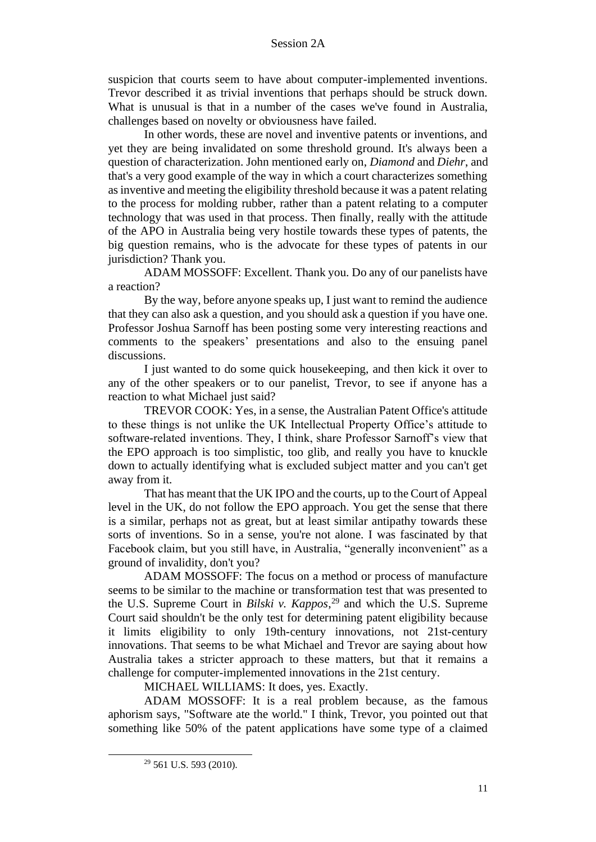suspicion that courts seem to have about computer-implemented inventions. Trevor described it as trivial inventions that perhaps should be struck down. What is unusual is that in a number of the cases we've found in Australia, challenges based on novelty or obviousness have failed.

In other words, these are novel and inventive patents or inventions, and yet they are being invalidated on some threshold ground. It's always been a question of characterization. John mentioned early on, *Diamond* and *Diehr*, and that's a very good example of the way in which a court characterizes something as inventive and meeting the eligibility threshold because it was a patent relating to the process for molding rubber, rather than a patent relating to a computer technology that was used in that process. Then finally, really with the attitude of the APO in Australia being very hostile towards these types of patents, the big question remains, who is the advocate for these types of patents in our jurisdiction? Thank you.

ADAM MOSSOFF: Excellent. Thank you. Do any of our panelists have a reaction?

By the way, before anyone speaks up, I just want to remind the audience that they can also ask a question, and you should ask a question if you have one. Professor Joshua Sarnoff has been posting some very interesting reactions and comments to the speakers' presentations and also to the ensuing panel discussions.

I just wanted to do some quick housekeeping, and then kick it over to any of the other speakers or to our panelist, Trevor, to see if anyone has a reaction to what Michael just said?

TREVOR COOK: Yes, in a sense, the Australian Patent Office's attitude to these things is not unlike the UK Intellectual Property Office's attitude to software-related inventions. They, I think, share Professor Sarnoff's view that the EPO approach is too simplistic, too glib, and really you have to knuckle down to actually identifying what is excluded subject matter and you can't get away from it.

That has meant that the UK IPO and the courts, up to the Court of Appeal level in the UK, do not follow the EPO approach. You get the sense that there is a similar, perhaps not as great, but at least similar antipathy towards these sorts of inventions. So in a sense, you're not alone. I was fascinated by that Facebook claim, but you still have, in Australia, "generally inconvenient" as a ground of invalidity, don't you?

ADAM MOSSOFF: The focus on a method or process of manufacture seems to be similar to the machine or transformation test that was presented to the U.S. Supreme Court in *Bilski v. Kappos*, <sup>29</sup> and which the U.S. Supreme Court said shouldn't be the only test for determining patent eligibility because it limits eligibility to only 19th-century innovations, not 21st-century innovations. That seems to be what Michael and Trevor are saying about how Australia takes a stricter approach to these matters, but that it remains a challenge for computer-implemented innovations in the 21st century.

MICHAEL WILLIAMS: It does, yes. Exactly.

ADAM MOSSOFF: It is a real problem because, as the famous aphorism says, "Software ate the world." I think, Trevor, you pointed out that something like 50% of the patent applications have some type of a claimed

<sup>29</sup> 561 U.S. 593 (2010).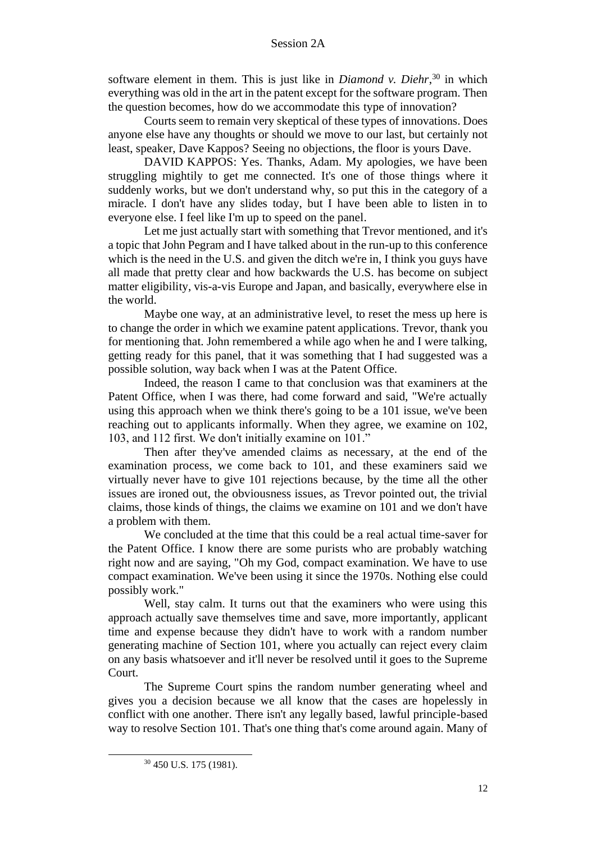software element in them. This is just like in *Diamond v. Diehr*,  $30$  in which everything was old in the art in the patent except for the software program. Then the question becomes, how do we accommodate this type of innovation?

Courts seem to remain very skeptical of these types of innovations. Does anyone else have any thoughts or should we move to our last, but certainly not least, speaker, Dave Kappos? Seeing no objections, the floor is yours Dave.

DAVID KAPPOS: Yes. Thanks, Adam. My apologies, we have been struggling mightily to get me connected. It's one of those things where it suddenly works, but we don't understand why, so put this in the category of a miracle. I don't have any slides today, but I have been able to listen in to everyone else. I feel like I'm up to speed on the panel.

Let me just actually start with something that Trevor mentioned, and it's a topic that John Pegram and I have talked about in the run-up to this conference which is the need in the U.S. and given the ditch we're in, I think you guys have all made that pretty clear and how backwards the U.S. has become on subject matter eligibility, vis-a-vis Europe and Japan, and basically, everywhere else in the world.

Maybe one way, at an administrative level, to reset the mess up here is to change the order in which we examine patent applications. Trevor, thank you for mentioning that. John remembered a while ago when he and I were talking, getting ready for this panel, that it was something that I had suggested was a possible solution, way back when I was at the Patent Office.

Indeed, the reason I came to that conclusion was that examiners at the Patent Office, when I was there, had come forward and said, "We're actually using this approach when we think there's going to be a 101 issue, we've been reaching out to applicants informally. When they agree, we examine on 102, 103, and 112 first. We don't initially examine on 101."

Then after they've amended claims as necessary, at the end of the examination process, we come back to 101, and these examiners said we virtually never have to give 101 rejections because, by the time all the other issues are ironed out, the obviousness issues, as Trevor pointed out, the trivial claims, those kinds of things, the claims we examine on 101 and we don't have a problem with them.

We concluded at the time that this could be a real actual time-saver for the Patent Office. I know there are some purists who are probably watching right now and are saying, "Oh my God, compact examination. We have to use compact examination. We've been using it since the 1970s. Nothing else could possibly work."

Well, stay calm. It turns out that the examiners who were using this approach actually save themselves time and save, more importantly, applicant time and expense because they didn't have to work with a random number generating machine of Section 101, where you actually can reject every claim on any basis whatsoever and it'll never be resolved until it goes to the Supreme Court.

The Supreme Court spins the random number generating wheel and gives you a decision because we all know that the cases are hopelessly in conflict with one another. There isn't any legally based, lawful principle-based way to resolve Section 101. That's one thing that's come around again. Many of

<sup>30</sup> 450 U.S. 175 (1981).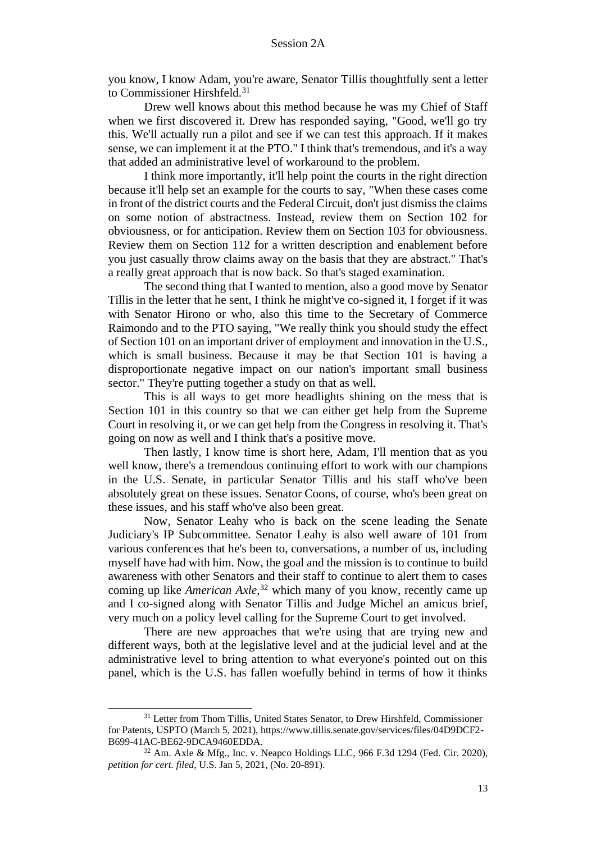you know, I know Adam, you're aware, Senator Tillis thoughtfully sent a letter to Commissioner Hirshfeld.<sup>31</sup>

Drew well knows about this method because he was my Chief of Staff when we first discovered it. Drew has responded saying, "Good, we'll go try this. We'll actually run a pilot and see if we can test this approach. If it makes sense, we can implement it at the PTO." I think that's tremendous, and it's a way that added an administrative level of workaround to the problem.

I think more importantly, it'll help point the courts in the right direction because it'll help set an example for the courts to say, "When these cases come in front of the district courts and the Federal Circuit, don't just dismiss the claims on some notion of abstractness. Instead, review them on Section 102 for obviousness, or for anticipation. Review them on Section 103 for obviousness. Review them on Section 112 for a written description and enablement before you just casually throw claims away on the basis that they are abstract." That's a really great approach that is now back. So that's staged examination.

The second thing that I wanted to mention, also a good move by Senator Tillis in the letter that he sent, I think he might've co-signed it, I forget if it was with Senator Hirono or who, also this time to the Secretary of Commerce Raimondo and to the PTO saying, "We really think you should study the effect of Section 101 on an important driver of employment and innovation in the U.S., which is small business. Because it may be that Section 101 is having a disproportionate negative impact on our nation's important small business sector." They're putting together a study on that as well.

This is all ways to get more headlights shining on the mess that is Section 101 in this country so that we can either get help from the Supreme Court in resolving it, or we can get help from the Congress in resolving it. That's going on now as well and I think that's a positive move.

Then lastly, I know time is short here, Adam, I'll mention that as you well know, there's a tremendous continuing effort to work with our champions in the U.S. Senate, in particular Senator Tillis and his staff who've been absolutely great on these issues. Senator Coons, of course, who's been great on these issues, and his staff who've also been great.

Now, Senator Leahy who is back on the scene leading the Senate Judiciary's IP Subcommittee. Senator Leahy is also well aware of 101 from various conferences that he's been to, conversations, a number of us, including myself have had with him. Now, the goal and the mission is to continue to build awareness with other Senators and their staff to continue to alert them to cases coming up like *American Axle*, <sup>32</sup> which many of you know, recently came up and I co-signed along with Senator Tillis and Judge Michel an amicus brief, very much on a policy level calling for the Supreme Court to get involved.

There are new approaches that we're using that are trying new and different ways, both at the legislative level and at the judicial level and at the administrative level to bring attention to what everyone's pointed out on this panel, which is the U.S. has fallen woefully behind in terms of how it thinks

<sup>&</sup>lt;sup>31</sup> Letter from Thom Tillis, United States Senator, to Drew Hirshfeld, Commissioner for Patents, USPTO (March 5, 2021), https://www.tillis.senate.gov/services/files/04D9DCF2- B699-41AC-BE62-9DCA9460EDDA.

<sup>32</sup> Am. Axle & Mfg., Inc. v. Neapco Holdings LLC, 966 F.3d 1294 (Fed. Cir. 2020), *petition for cert. filed*, U.S. Jan 5, 2021, (No. 20-891).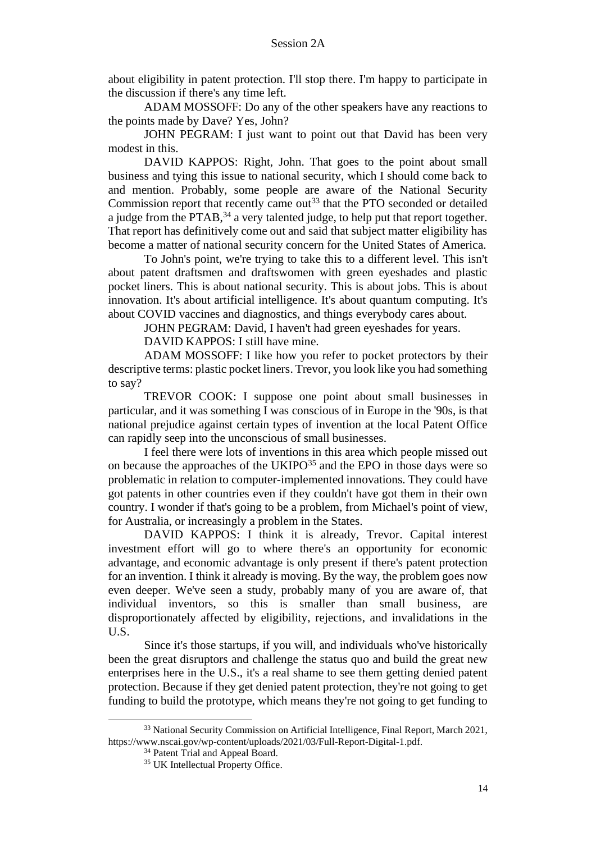about eligibility in patent protection. I'll stop there. I'm happy to participate in the discussion if there's any time left.

ADAM MOSSOFF: Do any of the other speakers have any reactions to the points made by Dave? Yes, John?

JOHN PEGRAM: I just want to point out that David has been very modest in this.

DAVID KAPPOS: Right, John. That goes to the point about small business and tying this issue to national security, which I should come back to and mention. Probably, some people are aware of the National Security Commission report that recently came out<sup>33</sup> that the PTO seconded or detailed a judge from the PTAB,<sup>34</sup> a very talented judge, to help put that report together. That report has definitively come out and said that subject matter eligibility has become a matter of national security concern for the United States of America.

To John's point, we're trying to take this to a different level. This isn't about patent draftsmen and draftswomen with green eyeshades and plastic pocket liners. This is about national security. This is about jobs. This is about innovation. It's about artificial intelligence. It's about quantum computing. It's about COVID vaccines and diagnostics, and things everybody cares about.

JOHN PEGRAM: David, I haven't had green eyeshades for years.

DAVID KAPPOS: I still have mine.

ADAM MOSSOFF: I like how you refer to pocket protectors by their descriptive terms: plastic pocket liners. Trevor, you look like you had something to say?

TREVOR COOK: I suppose one point about small businesses in particular, and it was something I was conscious of in Europe in the '90s, is that national prejudice against certain types of invention at the local Patent Office can rapidly seep into the unconscious of small businesses.

I feel there were lots of inventions in this area which people missed out on because the approaches of the UKIPO<sup>35</sup> and the EPO in those days were so problematic in relation to computer-implemented innovations. They could have got patents in other countries even if they couldn't have got them in their own country. I wonder if that's going to be a problem, from Michael's point of view, for Australia, or increasingly a problem in the States.

DAVID KAPPOS: I think it is already, Trevor. Capital interest investment effort will go to where there's an opportunity for economic advantage, and economic advantage is only present if there's patent protection for an invention. I think it already is moving. By the way, the problem goes now even deeper. We've seen a study, probably many of you are aware of, that individual inventors, so this is smaller than small business, are disproportionately affected by eligibility, rejections, and invalidations in the U.S.

Since it's those startups, if you will, and individuals who've historically been the great disruptors and challenge the status quo and build the great new enterprises here in the U.S., it's a real shame to see them getting denied patent protection. Because if they get denied patent protection, they're not going to get funding to build the prototype, which means they're not going to get funding to

<sup>&</sup>lt;sup>33</sup> National Security Commission on Artificial Intelligence, Final Report, March 2021, https://www.nscai.gov/wp-content/uploads/2021/03/Full-Report-Digital-1.pdf.

<sup>&</sup>lt;sup>34</sup> Patent Trial and Appeal Board.

<sup>&</sup>lt;sup>35</sup> UK Intellectual Property Office.